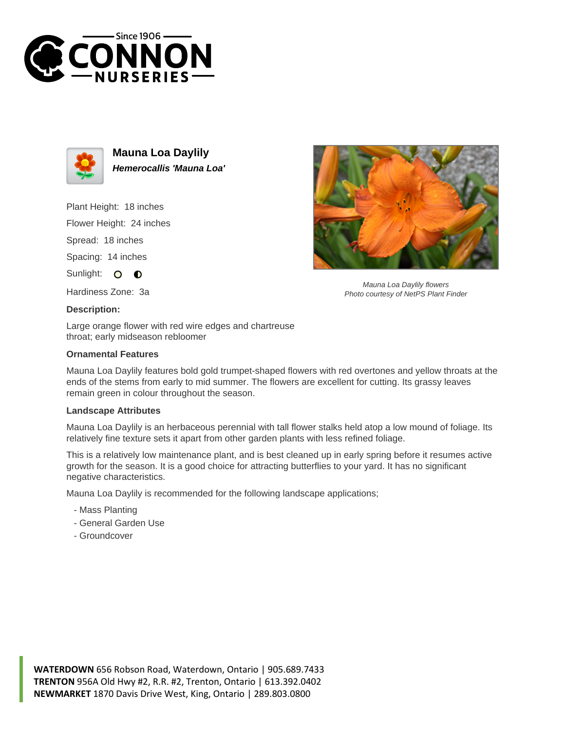



**Mauna Loa Daylily Hemerocallis 'Mauna Loa'**

Plant Height: 18 inches

Flower Height: 24 inches

Spread: 18 inches

Spacing: 14 inches

Sunlight: O **O** 

Hardiness Zone: 3a

## **Description:**

Large orange flower with red wire edges and chartreuse throat; early midseason rebloomer

## **Ornamental Features**

Mauna Loa Daylily features bold gold trumpet-shaped flowers with red overtones and yellow throats at the ends of the stems from early to mid summer. The flowers are excellent for cutting. Its grassy leaves remain green in colour throughout the season.

## **Landscape Attributes**

Mauna Loa Daylily is an herbaceous perennial with tall flower stalks held atop a low mound of foliage. Its relatively fine texture sets it apart from other garden plants with less refined foliage.

This is a relatively low maintenance plant, and is best cleaned up in early spring before it resumes active growth for the season. It is a good choice for attracting butterflies to your yard. It has no significant negative characteristics.

Mauna Loa Daylily is recommended for the following landscape applications;

- Mass Planting
- General Garden Use
- Groundcover



Mauna Loa Daylily flowers Photo courtesy of NetPS Plant Finder

**WATERDOWN** 656 Robson Road, Waterdown, Ontario | 905.689.7433 **TRENTON** 956A Old Hwy #2, R.R. #2, Trenton, Ontario | 613.392.0402 **NEWMARKET** 1870 Davis Drive West, King, Ontario | 289.803.0800